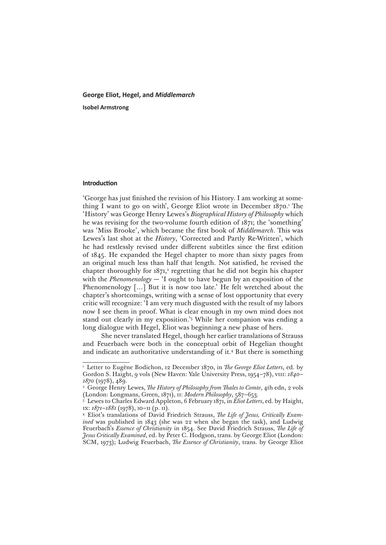# **George Eliot, Hegel, and** *Middlemarch* **Isobel Armstrong**

## **Introduction**

'George has just finished the revision of his History. I am working at something I want to go on with', George Eliot wrote in December 1870.<sup>1</sup> The 'History' was George Henry Lewes's *Biographical History of Philosophy* which he was revising for the two-volume fourth edition of 1871; the 'something' was 'Miss Brooke', which became the first book of *Middlemarch*. This was Lewes's last shot at the *History*, 'Corrected and Partly Re-Written', which he had restlessly revised under different subtitles since the first edition of 1845. He expanded the Hegel chapter to more than sixty pages from an original much less than half that length. Not satisfied, he revised the chapter thoroughly for  $1871$ ,<sup>2</sup> regretting that he did not begin his chapter with the *Phenomenology* — 'I ought to have begun by an exposition of the Phenomenology [...] But it is now too late.' He felt wretched about the chapter's shortcomings, writing with a sense of lost opportunity that every critic will recognize: 'I am very much disgusted with the result of my labors now I see them in proof. What is clear enough in my own mind does not stand out clearly in my exposition.'3 While her companion was ending a long dialogue with Hegel, Eliot was beginning a new phase of hers.

She never translated Hegel, though her earlier translations of Strauss and Feuerbach were both in the conceptual orbit of Hegelian thought and indicate an authoritative understanding of it.4 But there is something

<sup>&</sup>lt;sup>1</sup> Letter to Eugène Bodichon, 12 December 1870, in *The George Eliot Letters*, ed. by Gordon S. Haight, 9 vols (New Haven: Yale University Press, 1954–78), viii: *1840– 1870* (1978), 489.

<sup>&</sup>lt;sup>2</sup> George Henry Lewes, *The History of Philosophy from Thales to Comte*, 4th edn, 2 vols (London: Longmans, Green, 1871), ii: *Modern Philosophy*, 587–653.

<sup>3</sup> Lewes to Charles Edward Appleton, 6 February 1871, in *Eliot Letters*, ed. by Haight, ix: *1871–1881* (1978), 10–11 (p. 11).

<sup>4</sup> Eliot's translations of David Friedrich Strauss, *The Life of Jesus, Critically Examined* was published in 1843 (she was 22 when she began the task), and Ludwig Feuerbach's *Essence of Christianity* in 1854. See David Friedrich Strauss, *The Life of Jesus Critically Examined*, ed. by Peter C. Hodgson, trans. by George Eliot (London: SCM, 1973); Ludwig Feuerbach, *The Essence of Christianity*, trans. by George Eliot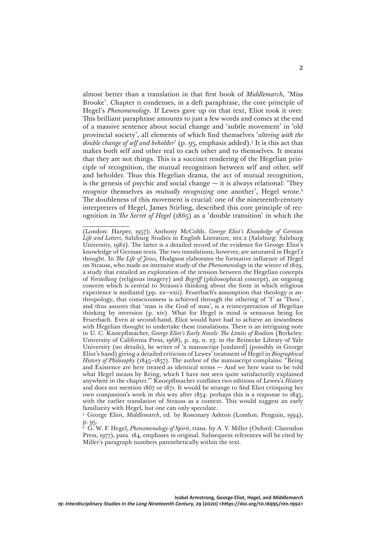almost better than a translation in that first book of *Middlemarch*, 'Miss Brooke'. Chapter 11 condenses, in a deft paraphrase, the core principle of Hegel's *Phenomenology*. If Lewes gave up on that text, Eliot took it over. This brilliant paraphrase amounts to just a few words and comes at the end of a massive sentence about social change and 'subtle movement' in 'old provincial society', all elements of which find themselves '*altering with the double change of self and beholder*' (p. 95, emphasis added).5 It is this act that makes both self and other real to each other and to themselves. It means that they are not things. This is a succinct rendering of the Hegelian principle of recognition, the mutual recognition between self and other, self and beholder. Thus this Hegelian drama, the act of mutual recognition, is the genesis of psychic and social change  $-$  it is always relational: 'They *recognize* themselves as *mutually recognizing* one another', Hegel wrote.<sup>6</sup> The doubleness of this movement is crucial: one of the nineteenth-century interpreters of Hegel, James Stirling, described this core principle of recognition in *The Secret of Hegel* (1865) as a 'double transition' in which the

<sup>(</sup>London: Harper, 1957); Anthony McCobb, *George Eliot's Knowledge of German Life and Letters*, Salzburg Studies in English Literature, 102.2 (Salzburg: Salzburg University, 1982). The latter is a detailed record of the evidence for George Eliot's knowledge of German texts. The two translations, however, are saturated in Hegel's thought. In *The Life of Jesus*, Hodgson elaborates the formative influence of Hegel on Strauss, who made an intensive study of the *Phenomenology* in the winter of 1829, a study that entailed an exploration of the tension between the Hegelian concepts of *Vorstellung* (religious imagery) and *Begriff* (philosophical concept), an ongoing concern which is central to Strauss's thinking about the form in which religious experience is mediated (pp. xx–xxii). Feuerbach's assumption that theology is anthropology, that consciousness is achieved through the othering of 'I' as 'Thou', and thus assures that 'man is the God of man', is a reinterpretation of Hegelian thinking by inversion (p. xiv). What for Hegel is mind is sensuous being for Feuerbach. Even at second-hand, Eliot would have had to achieve an inwardness with Hegelian thought to undertake these translations. There is an intriguing note in U. C. Knoepflmacher, *George Eliot's Early Novels: The Limits of Realism* (Berkeley: University of California Press, 1968), p. 29, n. 23: in the Beinecke Library of Yale University (no details), he writes of 'a manuscript [undated] (possibly in George Eliot's hand) giving a detailed criticism of Lewes' treatment of Hegel in *Biographical History of Philosophy* (1845–1857). The author of the manuscript complains: "Being and Existence are here treated as identical terms — And we here want to be told what Hegel means by Being, which I have not seen quite satisfactorily explained anywhere in the chapter."' Knoepflmacher conflates two editions of Lewes's *History* and does not mention 1867 or 1871. It would be strange to find Eliot critiquing her own companion's work in this way after 1854: perhaps this is a response to 1845, with the earlier translation of Strauss as a context. This would suggest an early familiarity with Hegel, but one can only speculate.

<sup>5</sup> George Eliot, *Middlemarch*, ed. by Rosemary Ashton (London: Penguin, 1994), p. 95.

<sup>6</sup> G. W. F. Hegel, *Phenomenology of Spirit*, trans. by A. V. Miller (Oxford: Clarendon Press, 1977), para. 184, emphases in original. Subsequent references will be cited by Miller's paragraph numbers parenthetically within the text.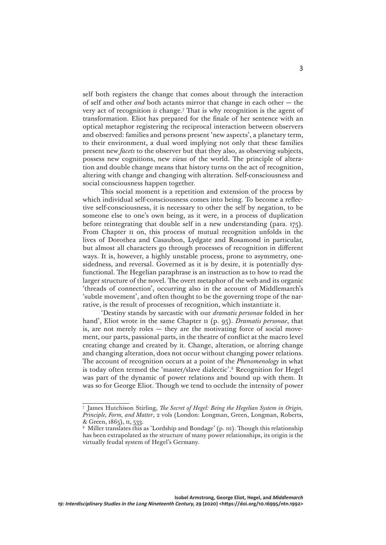self both registers the change that comes about through the interaction of self and other *and* both actants mirror that change in each other — the very act of recognition *is* change.7 That is why recognition is the agent of transformation. Eliot has prepared for the finale of her sentence with an optical metaphor registering the reciprocal interaction between observers and observed: families and persons present 'new aspects', a planetary term, to their environment, a dual word implying not only that these families present new *facets* to the observer but that they also, as observing subjects, possess new cognitions, new *views* of the world. The principle of alteration and double change means that history turns on the act of recognition, altering with change and changing with alteration. Self-consciousness and social consciousness happen together.

This social moment is a repetition and extension of the process by which individual self-consciousness comes into being. To become a reflective self-consciousness, it is necessary to other the self by negation, to be someone else to one's own being, as it were, in a process of duplication before reintegrating that double self in a new understanding (para. 175). From Chapter 11 on, this process of mutual recognition unfolds in the lives of Dorothea and Casaubon, Lydgate and Rosamond in particular, but almost all characters go through processes of recognition in different ways. It is, however, a highly unstable process, prone to asymmetry, onesidedness, and reversal. Governed as it is by desire, it is potentially dysfunctional. The Hegelian paraphrase is an instruction as to how to read the larger structure of the novel. The overt metaphor of the web and its organic 'threads of connection', occurring also in the account of Middlemarch's 'subtle movement', and often thought to be the governing trope of the narrative, is the result of processes of recognition, which instantiate it.

'Destiny stands by sarcastic with our *dramatis personae* folded in her hand', Eliot wrote in the same Chapter 11 (p. 95). *Dramatis personae*, that is, are not merely roles — they are the motivating force of social movement, our parts, passional parts, in the theatre of conflict at the macro level creating change and created by it. Change, alteration, or altering change and changing alteration, does not occur without changing power relations. The account of recognition occurs at a point of the *Phenomenology* in what is today often termed the 'master/slave dialectic'.8 Recognition for Hegel was part of the dynamic of power relations and bound up with them. It was so for George Eliot. Though we tend to occlude the intensity of power

<sup>7</sup> James Hutchison Stirling, *The Secret of Hegel: Being the Hegelian System in Origin, Principle, Form, and Matter*, 2 vols (London: Longman, Green, Longman, Roberts, & Green, 1865), ii, 533.

<sup>8</sup> Miller translates this as 'Lordship and Bondage' (p. 111). Though this relationship has been extrapolated as the structure of many power relationships, its origin is the virtually feudal system of Hegel's Germany.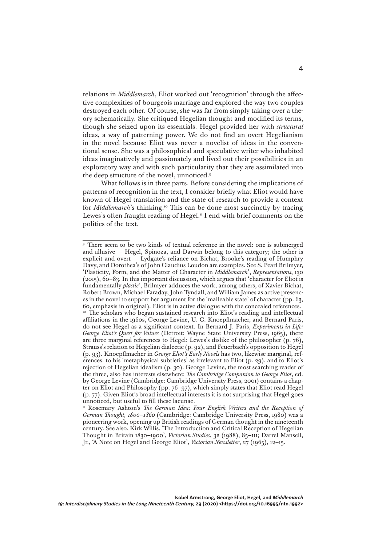relations in *Middlemarch*, Eliot worked out 'recognition' through the affective complexities of bourgeois marriage and explored the way two couples destroyed each other. Of course, she was far from simply taking over a theory schematically. She critiqued Hegelian thought and modified its terms, though she seized upon its essentials. Hegel provided her with *structural* ideas, a way of patterning power. We do not find an overt Hegelianism in the novel because Eliot was never a novelist of ideas in the conventional sense. She was a philosophical and speculative writer who inhabited ideas imaginatively and passionately and lived out their possibilities in an exploratory way and with such particularity that they are assimilated into the deep structure of the novel, unnoticed.9

What follows is in three parts. Before considering the implications of patterns of recognition in the text, I consider briefly what Eliot would have known of Hegel translation and the state of research to provide a context for *Middlemarch*'s thinking.10 This can be done most succinctly by tracing Lewes's often fraught reading of Hegel.<sup>11</sup> I end with brief comments on the politics of the text.

<sup>9</sup> There seem to be two kinds of textual reference in the novel: one is submerged and allusive — Hegel, Spinoza, and Darwin belong to this category; the other is explicit and overt — Lydgate's reliance on Bichat, Brooke's reading of Humphry Davy, and Dorothea's of John Claudius Loudon are examples. See S. Pearl Brilmyer, 'Plasticity, Form, and the Matter of Character in *Middlemarch*', *Representations*, 130 (2015), 60–83. In this important discussion, which argues that 'character for Eliot is fundamentally *plastic*', Brilmyer adduces the work, among others, of Xavier Bichat, Robert Brown, Michael Faraday, John Tyndall, and William James as active presences in the novel to support her argument for the 'malleable state' of character (pp. 63, 60, emphasis in original). Eliot is in active dialogue with the concealed references. <sup>10</sup> The scholars who began sustained research into Eliot's reading and intellectual affiliations in the 1960s, George Levine, U. C. Knoepflmacher, and Bernard Paris, do not see Hegel as a significant context. In Bernard J. Paris, *Experiments in Life: George Eliot's Quest for Values* (Detroit: Wayne State University Press, 1965), there are three marginal references to Hegel: Lewes's dislike of the philosopher (p. 76), Strauss's relation to Hegelian dialectic (p. 92), and Feuerbach's opposition to Hegel (p. 93). Knoepflmacher in *George Eliot's Early Novels* has two, likewise marginal, references: to his 'metaphysical subtleties' as irrelevant to Eliot (p. 29), and to Eliot's rejection of Hegelian idealism (p. 30). George Levine, the most searching reader of the three, also has interests elsewhere: *The Cambridge Companion to George Eliot*, ed. by George Levine (Cambridge: Cambridge University Press, 2001) contains a chapter on Eliot and Philosophy (pp. 76–97), which simply states that Eliot read Hegel (p. 77). Given Eliot's broad intellectual interests it is not surprising that Hegel goes unnoticed, but useful to fill these lacunae.

<sup>&</sup>lt;sup>11</sup> Rosemary Ashton's *The German Idea: Four English Writers and the Reception of German Thought, 1800–1860* (Cambridge: Cambridge University Press, 1980) was a pioneering work, opening up British readings of German thought in the nineteenth century. See also, Kirk Willis, 'The Introduction and Critical Reception of Hegelian Thought in Britain 1830–1900', *Victorian Studies*, 32 (1988), 85–111; Darrel Mansell, Jr., 'A Note on Hegel and George Eliot', *Victorian Newsletter*, 27 (1965), 12–15.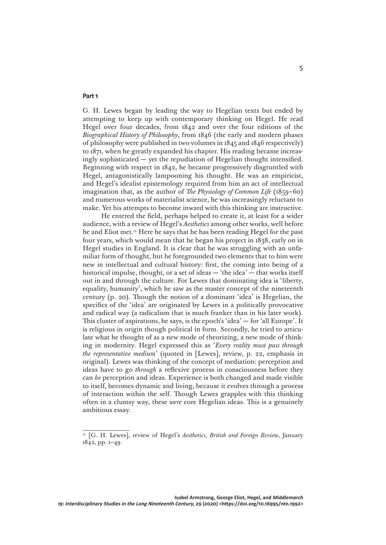### **Part 1**

G. H. Lewes began by leading the way to Hegelian texts but ended by attempting to keep up with contemporary thinking on Hegel. He read Hegel over four decades, from 1842 and over the four editions of the *Biographical History of Philosophy*, from 1846 (the early and modern phases of philosophy were published in two volumes in 1845 and 1846 respectively) to 1871, when he greatly expanded his chapter. His reading became increasingly sophisticated — yet the repudiation of Hegelian thought intensified. Beginning with respect in 1842, he became progressively disgruntled with Hegel, antagonistically lampooning his thought. He was an empiricist, and Hegel's idealist epistemology required from him an act of intellectual imagination that, as the author of *The Physiology of Common Life* (1859–60) and numerous works of materialist science, he was increasingly reluctant to make. Yet his attempts to become inward with this thinking are instructive.

He entered the field, perhaps helped to create it, at least for a wider audience, with a review of Hegel's *Aesthetics* among other works, well before he and Eliot met.12 Here he says that he has been reading Hegel for the past four years, which would mean that he began his project in 1838, early on in Hegel studies in England. It is clear that he was struggling with an unfamiliar form of thought, but he foregrounded two elements that to him were new in intellectual and cultural history: first, the coming into being of a historical impulse, thought, or a set of ideas — 'the idea' — that works itself out in and through the culture. For Lewes that dominating idea is 'liberty, equality, humanity', which he saw as the master concept of the nineteenth century (p. 20). Though the notion of a dominant 'idea' is Hegelian, the specifics of the 'idea' are originated by Lewes in a politically provocative and radical way (a radicalism that is much franker than in his later work). This cluster of aspirations, he says, is the epoch's 'idea' — for 'all Europe'. It is religious in origin though political in form. Secondly, he tried to articulate what he thought of as a new mode of theorizing, a new mode of thinking in modernity. Hegel expressed this as '*Every reality must pass through the representative medium*' (quoted in [Lewes], review, p. 22, emphasis in original). Lewes was thinking of the concept of mediation: perception and ideas have to go *through* a reflexive process in consciousness before they can *be* perception and ideas. Experience is both changed and made visible to itself, becomes dynamic and living, because it evolves through a process of interaction within the self. Though Lewes grapples with this thinking often in a clumsy way, these *were* core Hegelian ideas. This is a genuinely ambitious essay.

<sup>12</sup> [G. H. Lewes], review of Hegel's *Aesthetics*, *British and Foreign Review*, January 1842, pp. 1–49.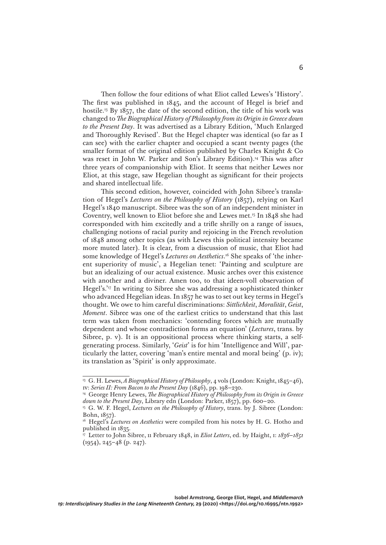Then follow the four editions of what Eliot called Lewes's 'History'. The first was published in 1845, and the account of Hegel is brief and hostile.13 By 1857, the date of the second edition, the title of his work was changed to *The Biographical History of Philosophy from its Origin in Greece down to the Present Day*. It was advertised as a Library Edition, 'Much Enlarged and Thoroughly Revised'. But the Hegel chapter was identical (so far as I can see) with the earlier chapter and occupied a scant twenty pages (the smaller format of the original edition published by Charles Knight & Co was reset in John W. Parker and Son's Library Edition).<sup>14</sup> This was after three years of companionship with Eliot. It seems that neither Lewes nor Eliot, at this stage, saw Hegelian thought as significant for their projects and shared intellectual life.

This second edition, however, coincided with John Sibree's translation of Hegel's *Lectures on the Philosophy of History* (1857), relying on Karl Hegel's 1840 manuscript. Sibree was the son of an independent minister in Coventry, well known to Eliot before she and Lewes met.15 In 1848 she had corresponded with him excitedly and a trifle shrilly on a range of issues, challenging notions of racial purity and rejoicing in the French revolution of 1848 among other topics (as with Lewes this political intensity became more muted later). It is clear, from a discussion of music, that Eliot had some knowledge of Hegel's *Lectures on Aesthetics*. 16 She speaks of 'the inherent superiority of music', a Hegelian tenet: 'Painting and sculpture are but an idealizing of our actual existence. Music arches over this existence with another and a diviner. Amen too, to that ideen-voll observation of Hegel's.'17 In writing to Sibree she was addressing a sophisticated thinker who advanced Hegelian ideas. In 1857 he was to set out key terms in Hegel's thought. We owe to him careful discriminations: *Sittlichkeit*, *Moralität*, *Geist*, *Moment*. Sibree was one of the earliest critics to understand that this last term was taken from mechanics: 'contending forces which are mutually dependent and whose contradiction forms an equation' (*Lectures*, trans. by Sibree, p. v). It is an oppositional process where thinking starts, a selfgenerating process. Similarly, '*Geist*' is for him 'Intelligence and Will', particularly the latter, covering 'man's entire mental and moral being' (p. iv); its translation as 'Spirit' is only approximate.

<sup>&</sup>lt;sup>13</sup> G. H. Lewes, *A Biographical History of Philosophy*, 4 vols (London: Knight, 1845-46), iv: *Series II: From Bacon to the Present Day* (1846), pp. 198–230.

<sup>&</sup>lt;sup>14</sup> George Henry Lewes, *The Biographical History of Philosophy from its Origin in Greece down to the Present Day*, Library edn (London: Parker, 1857), pp. 600–20.

<sup>&</sup>lt;sup>15</sup> G. W. F. Hegel, *Lectures on the Philosophy of History*, trans. by J. Sibree (London: Bohn, 1857).

<sup>&</sup>lt;sup>16</sup> Hegel's *Lectures on Aesthetics* were compiled from his notes by H. G. Hotho and published in 1835.

<sup>17</sup> Letter to John Sibree, 11 February 1848, in *Eliot Letters*, ed. by Haight, i: *1836–1851*  $(1954)$ , 245–48 (p. 247).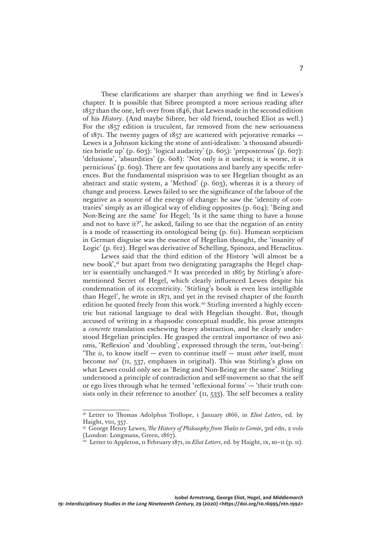These clarifications are sharper than anything we find in Lewes's chapter. It is possible that Sibree prompted a more serious reading after 1857 than the one, left over from 1846, that Lewes made in the second edition of his *History*. (And maybe Sibree, her old friend, touched Eliot as well.) For the 1857 edition is truculent, far removed from the new seriousness of 1871. The twenty pages of 1857 are scattered with pejorative remarks — Lewes is a Johnson kicking the stone of anti-idealism: 'a thousand absurdities bristle up' (p. 603): 'logical audacity' (p. 605): 'preposterous' (p. 607): 'delusions', 'absurdities' (p. 608): 'Not only is it useless; it is worse, it is pernicious' (p. 609). There are few quotations and barely any specific references. But the fundamental misprision was to see Hegelian thought as an abstract and static system, a 'Method' (p. 603), whereas it is a theory of change and process. Lewes failed to see the significance of the labour of the negative as a source of the energy of change: he saw the 'identity of contraries' simply as an illogical way of eliding opposites (p. 604); 'Being and Non-Being are the same' for Hegel; 'Is it the same thing to have a house and not to have it?', he asked, failing to see that the negation of an entity is a mode of reasserting its ontological being (p. 611). Humean scepticism in German disguise was the essence of Hegelian thought, the 'insanity of Logic' (p. 612). Hegel was derivative of Schelling, Spinoza, and Heraclitus.

Lewes said that the third edition of the History 'will almost be a new book',<sup>18</sup> but apart from two denigrating paragraphs the Hegel chapter is essentially unchanged.19 It was preceded in 1865 by Stirling's aforementioned Secret of Hegel, which clearly influenced Lewes despite his condemnation of its eccentricity. 'Stirling's book is even less intelligible than Hegel', he wrote in 1871, and yet in the revised chapter of the fourth edition he quoted freely from this work.<sup>20</sup> Stirling invented a highly eccentric but rational language to deal with Hegelian thought. But, though accused of writing in a rhapsodic conceptual muddle, his prose attempts a *concrete* translation eschewing heavy abstraction, and he clearly understood Hegelian principles. He grasped the central importance of two axioms, 'Reflexion' and 'doubling', expressed through the term, 'out-being': 'The *is*, to know itself — even to continue itself — must *other* itself, must become *not*' (ii, 537, emphases in original). This was Stirling's gloss on what Lewes could only see as 'Being and Non-Being are the same'. Stirling understood a principle of contradiction and self-movement so that the self or ego lives through what he termed 'reflexional forms' — 'their truth consists only in their reference to another' ( $\pi$ , 533). The self becomes a reality

<sup>&</sup>lt;sup>18</sup> Letter to Thomas Adolphus Trollope, 1 January 1866, in *Eliot Letters*, ed. by Haight, vIII, 357.

<sup>&</sup>lt;sup>19</sup> George Henry Lewes, *The History of Philosophy from Thales to Comte*, 3rd edn, 2 vols (London: Longmans, Green, 1867).

<sup>&</sup>lt;sup>20</sup> Letter to Appleton, 11 February 1871, in *Eliot Letters*, ed. by Haight, 1x, 10–11 (p. 11).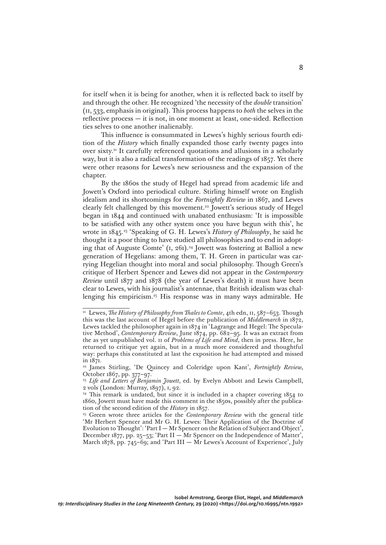for itself when it is being for another, when it is reflected back to itself by and through the other. He recognized 'the necessity of the *double* transition' (ii, 533, emphasis in original). This process happens to *both* the selves in the reflective process — it is not, in one moment at least, one-sided. Reflection ties selves to one another inalienably.

This influence is consummated in Lewes's highly serious fourth edition of the *History* which finally expanded those early twenty pages into over sixty.21 It carefully referenced quotations and allusions in a scholarly way, but it is also a radical transformation of the readings of 1857. Yet there were other reasons for Lewes's new seriousness and the expansion of the chapter.

By the 1860s the study of Hegel had spread from academic life and Jowett's Oxford into periodical culture. Stirling himself wrote on English idealism and its shortcomings for the *Fortnightly Review* in 1867, and Lewes clearly felt challenged by this movement.<sup>22</sup> Jowett's serious study of Hegel began in 1844 and continued with unabated enthusiasm: 'It is impossible to be satisfied with any other system once you have begun with this', he wrote in 1845.23 'Speaking of G. H. Lewes's *History of Philosophy*, he said he thought it a poor thing to have studied all philosophies and to end in adopting that of Auguste Comte' (1, 261).<sup>24</sup> Jowett was fostering at Balliol a new generation of Hegelians: among them, T. H. Green in particular was carrying Hegelian thought into moral and social philosophy. Though Green's critique of Herbert Spencer and Lewes did not appear in the *Contemporary Review* until 1877 and 1878 (the year of Lewes's death) it must have been clear to Lewes, with his journalist's antennae, that British idealism was challenging his empiricism.25 His response was in many ways admirable. He

<sup>&</sup>lt;sup>21</sup> Lewes, *The History of Philosophy from Thales to Comte*, 4th edn, 11, 587-653. Though this was the last account of Hegel before the publication of *Middlemarch* in 1872, Lewes tackled the philosopher again in 1874 in 'Lagrange and Hegel: The Speculative Method', *Contemporary Review*, June 1874, pp. 682–95. It was an extract from the as yet unpublished vol. ii of *Problems of Life and Mind*, then in press. Here, he returned to critique yet again, but in a much more considered and thoughtful way: perhaps this constituted at last the exposition he had attempted and missed in 1871.

<sup>22</sup> James Stirling, 'De Quincey and Coleridge upon Kant', *Fortnightly Review*, October 1867, pp. 377–97.

<sup>&</sup>lt;sup>23</sup> *Life and Letters of Benjamin Jowett*, ed. by Evelyn Abbott and Lewis Campbell, 2 vols (London: Murray, 1897), i, 92.

<sup>&</sup>lt;sup>24</sup> This remark is undated, but since it is included in a chapter covering 1854 to 1860, Jowett must have made this comment in the 1850s, possibly after the publication of the second edition of the *History* in 1857.

<sup>&</sup>lt;sup>25</sup> Green wrote three articles for the *Contemporary Review* with the general title 'Mr Herbert Spencer and Mr G. H. Lewes: Their Application of the Doctrine of Evolution to Thought': 'Part I — Mr Spencer on the Relation of Subject and Object', December 1877, pp. 25–53; 'Part II — Mr Spencer on the Independence of Matter', March 1878, pp. 745–69; and 'Part III — Mr Lewes's Account of Experience', July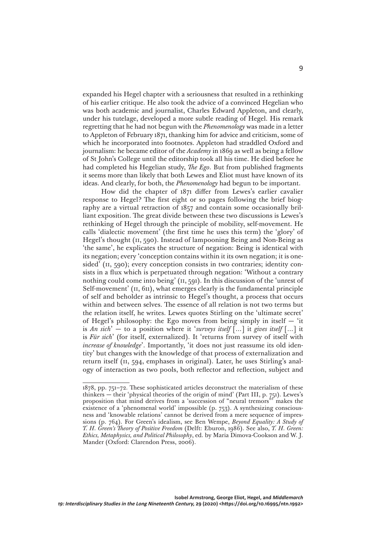expanded his Hegel chapter with a seriousness that resulted in a rethinking of his earlier critique. He also took the advice of a convinced Hegelian who was both academic and journalist, Charles Edward Appleton, and clearly, under his tutelage, developed a more subtle reading of Hegel. His remark regretting that he had not begun with the *Phenomenology* was made in a letter to Appleton of February 1871, thanking him for advice and criticism, some of which he incorporated into footnotes. Appleton had straddled Oxford and journalism: he became editor of the *Academy* in 1869 as well as being a fellow of St John's College until the editorship took all his time. He died before he had completed his Hegelian study, *The Ego*. But from published fragments it seems more than likely that both Lewes and Eliot must have known of its ideas. And clearly, for both, the *Phenomenology* had begun to be important.

How did the chapter of 1871 differ from Lewes's earlier cavalier response to Hegel? The first eight or so pages following the brief biography are a virtual retraction of 1857 and contain some occasionally brilliant exposition. The great divide between these two discussions is Lewes's rethinking of Hegel through the principle of mobility, self-movement. He calls 'dialectic movement' (the first time he uses this term) the 'glory' of Hegel's thought (II, 590). Instead of lampooning Being and Non-Being as 'the same', he explicates the structure of negation: Being is identical with its negation; every 'conception contains within it its own negation; it is onesided' (II, 590); every conception consists in two contraries; identity consists in a flux which is perpetuated through negation: 'Without a contrary nothing could come into being' (ii, 591). In this discussion of the 'unrest of Self-movement' ( $\text{II}, \text{611}$ ), what emerges clearly is the fundamental principle of self and beholder as intrinsic to Hegel's thought, a process that occurs within and between selves. The essence of all relation is not two terms but the relation itself, he writes. Lewes quotes Stirling on the 'ultimate secret' of Hegel's philosophy: the Ego moves from being simply in itself  $-$  'it is *An sich*' — to a position where it '*surveys itself* […] it *gives itself* […] it is *Für sich*' (for itself, externalized). It 'returns from survey of itself with *increase of knowledge*'. Importantly, 'it does not just reassume its old identity' but changes with the knowledge of that process of externalization and return itself (ii, 594, emphases in original). Later, he uses Stirling's analogy of interaction as two pools, both reflector and reflection, subject and

<sup>1878,</sup> pp. 751–72. These sophisticated articles deconstruct the materialism of these thinkers — their 'physical theories of the origin of mind' (Part III, p. 751). Lewes's proposition that mind derives from a 'succession of "neural tremors"' makes the existence of a 'phenomenal world' impossible (p. 753). A synthesizing consciousness and 'knowable relations' cannot be derived from a mere sequence of impressions (p. 764). For Green's idealism, see Ben Wempe, *Beyond Equality: A Study of T. H. Green's Theory of Positive Freedom* (Delft: Eburon, 1986). See also, *T. H. Green: Ethics, Metaphysics, and Political Philosophy*, ed. by Maria Dimova-Cookson and W. J. Mander (Oxford: Clarendon Press, 2006).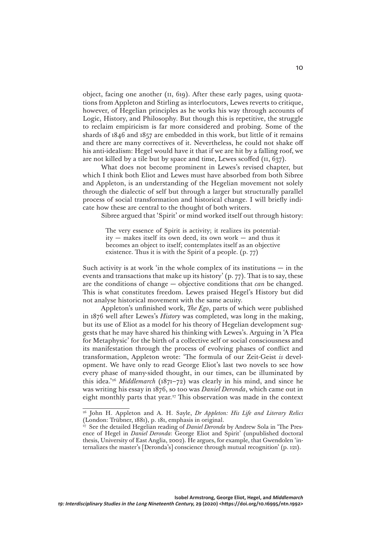object, facing one another (ii, 619). After these early pages, using quotations from Appleton and Stirling as interlocutors, Lewes reverts to critique, however, of Hegelian principles as he works his way through accounts of Logic, History, and Philosophy. But though this is repetitive, the struggle to reclaim empiricism is far more considered and probing. Some of the shards of 1846 and 1857 are embedded in this work, but little of it remains and there are many correctives of it. Nevertheless, he could not shake off his anti-idealism: Hegel would have it that if we are hit by a falling roof, we are not killed by a tile but by space and time, Lewes scoffed (ii, 637).

What does not become prominent in Lewes's revised chapter, but which I think both Eliot and Lewes must have absorbed from both Sibree and Appleton, is an understanding of the Hegelian movement not solely through the dialectic of self but through a larger but structurally parallel process of social transformation and historical change. I will briefly indicate how these are central to the thought of both writers.

Sibree argued that 'Spirit' or mind worked itself out through history:

The very essence of Spirit is activity; it realizes its potential $itv$  — makes itself its own deed, its own work — and thus it becomes an object to itself; contemplates itself as an objective existence. Thus it is with the Spirit of a people. (p. 77)

Such activity is at work 'in the whole complex of its institutions  $-$  in the events and transactions that make up its history' (p. 77). That is to say, these are the conditions of change — objective conditions that *can* be changed. This is what constitutes freedom. Lewes praised Hegel's History but did not analyse historical movement with the same acuity.

Appleton's unfinished work, *The Ego*, parts of which were published in 1876 well after Lewes's *History* was completed, was long in the making, but its use of Eliot as a model for his theory of Hegelian development suggests that he may have shared his thinking with Lewes's. Arguing in 'A Plea for Metaphysic' for the birth of a collective self or social consciousness and its manifestation through the process of evolving phases of conflict and transformation, Appleton wrote: 'The formula of our Zeit-Geist *is* development. We have only to read George Eliot's last two novels to see how every phase of many-sided thought, in our times, can be illuminated by this idea.'26 *Middlemarch* (1871–72) was clearly in his mind, and since he was writing his essay in 1876, so too was *Daniel Deronda*, which came out in eight monthly parts that year.27 This observation was made in the context

<sup>26</sup> John H. Appleton and A. H. Sayle, *Dr Appleton: His Life and Literary Relics*  (London: Trübner, 1881), p. 181, emphasis in original.

<sup>&</sup>lt;sup>27</sup> See the detailed Hegelian reading of *Daniel Deronda* by Andrew Sola in 'The Presence of Hegel in *Daniel Deronda*: George Eliot and Spirit' (unpublished doctoral thesis, University of East Anglia, 2002). He argues, for example, that Gwendolen 'internalizes the master's [Deronda's] conscience through mutual recognition' (p. 121).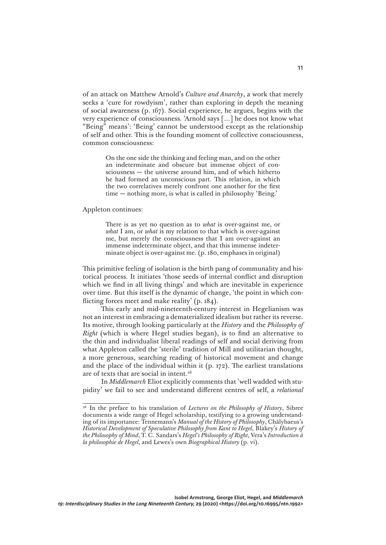of an attack on Matthew Arnold's *Culture and Anarchy*, a work that merely seeks a 'cure for rowdyism', rather than exploring in depth the meaning of social awareness (p. 167). Social experience, he argues, begins with the very experience of consciousness. 'Arnold says […] he does not know what "Being" means': 'Being' cannot be understood except as the relationship of self and other. This is the founding moment of collective consciousness, common consciousness:

> On the one side the thinking and feeling man, and on the other an indeterminate and obscure but immense object of consciousness — the universe around him, and of which hitherto he had formed an unconscious part. This relation, in which the two correlatives merely confront one another for the first time — nothing more, is what is called in philosophy 'Being.'

### Appleton continues:

There is as yet no question as to *what* is over-against me, or *what* I am, or *what* is my relation to that which is over-against me, but merely the consciousness that I am over-against an immense indeterminate object, and that this immense indeterminate object is over-against me. (p. 180, emphases in original)

This primitive feeling of isolation is the birth pang of communality and historical process. It initiates 'those seeds of internal conflict and disruption which we find in all living things' and which are inevitable in experience over time. But this itself is the dynamic of change, 'the point in which conflicting forces meet and make reality' (p. 184).

This early and mid-nineteenth-century interest in Hegelianism was not an interest in embracing a dematerialized idealism but rather its reverse. Its motive, through looking particularly at the *History* and the *Philosophy of Right* (which is where Hegel studies began), is to find an alternative to the thin and individualist liberal readings of self and social deriving from what Appleton called the 'sterile' tradition of Mill and utilitarian thought, a more generous, searching reading of historical movement and change and the place of the individual within it (p. 172). The earliest translations are of texts that are social in intent.<sup>28</sup>

In *Middlemarch* Eliot explicitly comments that 'well wadded with stupidity' we fail to see and understand different centres of self, a *relational* 

<sup>&</sup>lt;sup>28</sup> In the preface to his translation of *Lectures on the Philosophy of History*, Sibree documents a wide range of Hegel scholarship, testifying to a growing understanding of its importance: Tennemann's *Manual of the History of Philosophy*, Chälybaeus's *Historical Development of Speculative Philosophy from Kant to Hegel*, Blakey's *History of the Philosophy of Mind*, T. C. Sandars's *Hegel's Philosophy of Right*, Vera's *Introduction à la philosophie de Hegel*, and Lewes's own *Biographical History* (p. vi).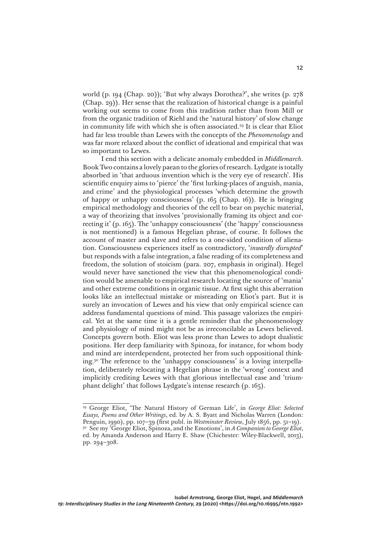world (p. 194 (Chap. 20)); 'But why always Dorothea?', she writes (p. 278 (Chap. 29)). Her sense that the realization of historical change is a painful working out seems to come from this tradition rather than from Mill or from the organic tradition of Riehl and the 'natural history' of slow change in community life with which she is often associated.<sup>29</sup> It is clear that Eliot had far less trouble than Lewes with the concepts of the *Phenomenology* and was far more relaxed about the conflict of ideational and empirical that was so important to Lewes.

I end this section with a delicate anomaly embedded in *Middlemarch*. Book Two contains a lovely paean to the glories of research. Lydgate is totally absorbed in 'that arduous invention which is the very eye of research'. His scientific enquiry aims to 'pierce' the 'first lurking-places of anguish, mania, and crime' and the physiological processes 'which determine the growth of happy or unhappy consciousness' (p. 165 (Chap. 16)). He is bringing empirical methodology and theories of the cell to bear on psychic material, a way of theorizing that involves 'provisionally framing its object and correcting it' (p. 165). The 'unhappy consciousness' (the 'happy' consciousness is not mentioned) is a famous Hegelian phrase, of course. It follows the account of master and slave and refers to a one-sided condition of alienation. Consciousness experiences itself as contradictory, '*inwardly disrupted*' but responds with a false integration, a false reading of its completeness and freedom, the solution of stoicism (para. 207, emphasis in original). Hegel would never have sanctioned the view that this phenomenological condition would be amenable to empirical research locating the source of 'mania' and other extreme conditions in organic tissue. At first sight this aberration looks like an intellectual mistake or misreading on Eliot's part. But it is surely an invocation of Lewes and his view that only empirical science can address fundamental questions of mind. This passage valorizes the empirical. Yet at the same time it is a gentle reminder that the phenomenology and physiology of mind might not be as irreconcilable as Lewes believed. Concepts govern both. Eliot was less prone than Lewes to adopt dualistic positions. Her deep familiarity with Spinoza, for instance, for whom body and mind are interdependent, protected her from such oppositional thinking.30 The reference to the 'unhappy consciousness' is a loving interpellation, deliberately relocating a Hegelian phrase in the 'wrong' context and implicitly crediting Lewes with that glorious intellectual ease and 'triumphant delight' that follows Lydgate's intense research (p. 165).

<sup>29</sup> George Eliot, 'The Natural History of German Life', in *George Eliot: Selected Essays, Poems and Other Writings*, ed. by A. S. Byatt and Nicholas Warren (London: Penguin, 1990), pp. 107–39 (first publ. in *Westminster Review*, July 1856, pp. 51–19). <sup>30</sup> See my 'George Eliot, Spinoza, and the Emotions', in *A Companion to George Eliot*, ed. by Amanda Anderson and Harry E. Shaw (Chichester: Wiley-Blackwell, 2013), pp. 294–308.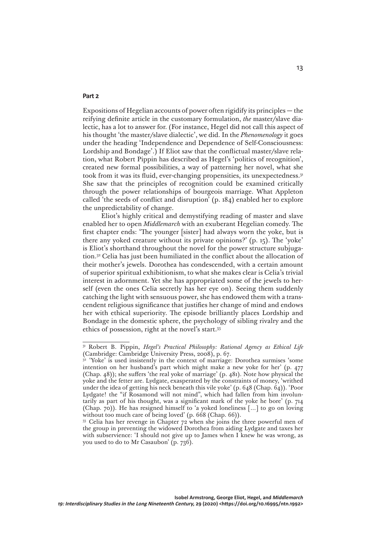## **Part 2**

Expositions of Hegelian accounts of power often rigidify its principles — the reifying definite article in the customary formulation, *the* master/slave dialectic, has a lot to answer for. (For instance, Hegel did not call this aspect of his thought 'the master/slave dialectic', we did. In the *Phenomenology* it goes under the heading 'Independence and Dependence of Self-Consciousness: Lordship and Bondage'.) If Eliot saw that the conflictual master/slave relation, what Robert Pippin has described as Hegel's 'politics of recognition', created new formal possibilities, a way of patterning her novel, what she took from it was its fluid, ever-changing propensities, its unexpectedness.31 She saw that the principles of recognition could be examined critically through the power relationships of bourgeois marriage. What Appleton called 'the seeds of conflict and disruption' (p. 184) enabled her to explore the unpredictability of change.

Eliot's highly critical and demystifying reading of master and slave enabled her to open *Middlemarch* with an exuberant Hegelian comedy. The first chapter ends: 'The younger [sister] had always worn the yoke, but is there any yoked creature without its private opinions?' (p. 15). The 'yoke' is Eliot's shorthand throughout the novel for the power structure subjugation.32 Celia has just been humiliated in the conflict about the allocation of their mother's jewels. Dorothea has condescended, with a certain amount of superior spiritual exhibitionism, to what she makes clear is Celia's trivial interest in adornment. Yet she has appropriated some of the jewels to herself (even the ones Celia secretly has her eye on). Seeing them suddenly catching the light with sensuous power, she has endowed them with a transcendent religious significance that justifies her change of mind and endows her with ethical superiority. The episode brilliantly places Lordship and Bondage in the domestic sphere, the psychology of sibling rivalry and the ethics of possession, right at the novel's start.33

<sup>&</sup>lt;sup>31</sup> Robert B. Pippin, *Hegel's Practical Philosophy: Rational Agency as Ethical Life* (Cambridge: Cambridge University Press, 2008), p. 67.

<sup>&</sup>lt;sup>32</sup> 'Yoke' is used insistently in the context of marriage: Dorothea surmises 'some intention on her husband's part which might make a new yoke for her' (p. 477 (Chap. 48)); she suffers 'the real yoke of marriage' (p. 481). Note how physical the yoke and the fetter are. Lydgate, exasperated by the constraints of money, 'writhed under the idea of getting his neck beneath this vile yoke' (p. 648 (Chap. 64)). 'Poor Lydgate! the "if Rosamond will not mind", which had fallen from him involuntarily as part of his thought, was a significant mark of the yoke he bore' (p. 714 (Chap. 70)). He has resigned himself to 'a yoked loneliness […] to go on loving without too much care of being loved' (p. 668 (Chap. 66)).

<sup>&</sup>lt;sup>33</sup> Celia has her revenge in Chapter 72 when she joins the three powerful men of the group in preventing the widowed Dorothea from aiding Lydgate and taxes her with subservience: 'I should not give up to James when I knew he was wrong, as you used to do to Mr Casaubon' (p. 736).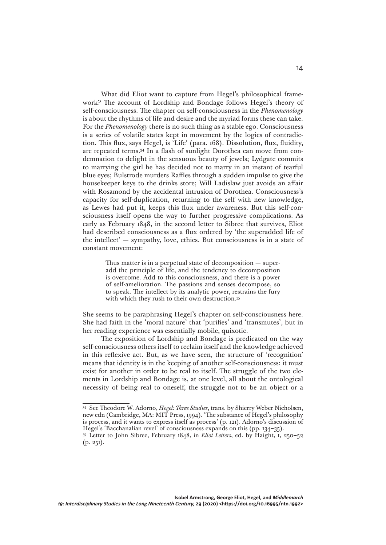What did Eliot want to capture from Hegel's philosophical framework? The account of Lordship and Bondage follows Hegel's theory of self-consciousness. The chapter on self-consciousness in the *Phenomenology* is about the rhythms of life and desire and the myriad forms these can take. For the *Phenomenology* there is no such thing as a stable ego. Consciousness is a series of volatile states kept in movement by the logics of contradiction. This flux, says Hegel, is 'Life' (para. 168). Dissolution, flux, fluidity, are repeated terms.34 In a flash of sunlight Dorothea can move from condemnation to delight in the sensuous beauty of jewels; Lydgate commits to marrying the girl he has decided not to marry in an instant of tearful blue eyes; Bulstrode murders Raffles through a sudden impulse to give the housekeeper keys to the drinks store; Will Ladislaw just avoids an affair with Rosamond by the accidental intrusion of Dorothea. Consciousness's capacity for self-duplication, returning to the self with new knowledge, as Lewes had put it, keeps this flux under awareness. But this self-consciousness itself opens the way to further progressive complications. As early as February 1848, in the second letter to Sibree that survives, Eliot had described consciousness as a flux ordered by 'the superadded life of the intellect' — sympathy, love, ethics. But consciousness is in a state of constant movement:

> Thus matter is in a perpetual state of decomposition  $-$  superadd the principle of life, and the tendency to decomposition is overcome. Add to this consciousness, and there is a power of self-amelioration. The passions and senses decompose, so to speak. The intellect by its analytic power, restrains the fury with which they rush to their own destruction.<sup>35</sup>

She seems to be paraphrasing Hegel's chapter on self-consciousness here. She had faith in the 'moral nature' that 'purifies' and 'transmutes', but in her reading experience was essentially mobile, quixotic.

The exposition of Lordship and Bondage is predicated on the way self-consciousness others itself to reclaim itself and the knowledge achieved in this reflexive act. But, as we have seen, the structure of 'recognition' means that identity is in the keeping of another self-consciousness: it must exist for another in order to be real to itself. The struggle of the two elements in Lordship and Bondage is, at one level, all about the ontological necessity of being real to oneself, the struggle not to be an object or a

<sup>34</sup> See Theodore W. Adorno, *Hegel: Three Studies*, trans. by Shierry Weber Nicholsen, new edn (Cambridge, MA: MIT Press, 1994). 'The substance of Hegel's philosophy is process, and it wants to express itself as process' (p. 121). Adorno's discussion of Hegel's 'Bacchanalian revel' of consciousness expands on this (pp. 134–35).

<sup>35</sup> Letter to John Sibree, February 1848, in *Eliot Letters*, ed. by Haight, i, 250–52  $(p. 251)$ .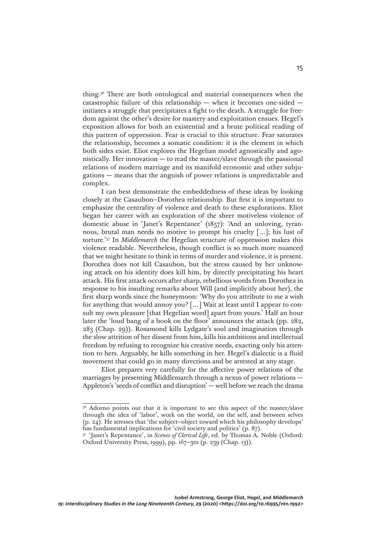thing.36 There are both ontological and material consequences when the catastrophic failure of this relationship — when it becomes one-sided initiates a struggle that precipitates a fight to the death. A struggle for freedom against the other's desire for mastery and exploitation ensues. Hegel's exposition allows for both an existential and a brute political reading of this pattern of oppression. Fear is crucial to this structure. Fear saturates the relationship, becomes a somatic condition: it is the element in which both sides exist. Eliot explores the Hegelian model agnostically and agonistically. Her innovation — to read the master/slave through the passional relations of modern marriage and its manifold economic and other subjugations — means that the anguish of power relations is unpredictable and complex.

I can best demonstrate the embeddedness of these ideas by looking closely at the Casaubon–Dorothea relationship. But first it is important to emphasize the centrality of violence and death to these explorations. Eliot began her career with an exploration of the sheer motiveless violence of domestic abuse in 'Janet's Repentance' (1857): 'And an unloving, tyrannous, brutal man needs no motive to prompt his cruelty […]; his lust of torture.'37 In *Middlemarch* the Hegelian structure of oppression makes this violence readable. Nevertheless, though conflict is so much more nuanced that we might hesitate to think in terms of murder and violence, it is present. Dorothea does not kill Casaubon, but the stress caused by her unknowing attack on his identity does kill him, by directly precipitating his heart attack. His first attack occurs after sharp, rebellious words from Dorothea in response to his insulting remarks about Will (and implicitly about her), the first sharp words since the honeymoon: 'Why do you attribute to me a wish for anything that would annoy you? […] Wait at least until I appear to consult my own pleasure [that Hegelian word] apart from yours.' Half an hour later the 'loud bang of a book on the floor' announces the attack (pp. 282, 283 (Chap. 29)). Rosamond kills Lydgate's soul and imagination through the slow attrition of her dissent from him, kills his ambitions and intellectual freedom by refusing to recognize his creative needs, exacting only his attention to hers. Arguably, he kills something in her. Hegel's dialectic is a fluid movement that could go in many directions and be arrested at any stage.

Eliot prepares very carefully for the affective power relations of the marriages by presenting Middlemarch through a nexus of power relations — Appleton's 'seeds of conflict and disruption' — well before we reach the drama

<sup>&</sup>lt;sup>36</sup> Adorno points out that it is important to see this aspect of the master/slave through the idea of 'labor', work on the world, on the self, and between selves (p. 24). He stresses that 'the subject–object toward which his philosophy develops' has fundamental implications for 'civil society and politics' (p. 87).

<sup>37</sup> 'Janet's Repentance', in *Scenes of Clerical Life*, ed. by Thomas A. Noble (Oxford: Oxford University Press, 1999), pp. 167–301 (p. 239 (Chap. 13)).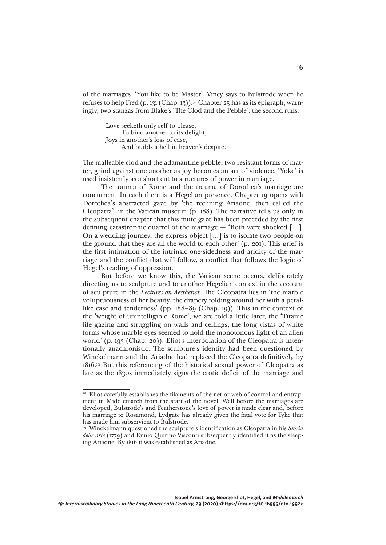of the marriages. 'You like to be Master', Vincy says to Bulstrode when he refuses to help Fred (p. 131 (Chap. 13)).38 Chapter 25 has as its epigraph, warningly, two stanzas from Blake's 'The Clod and the Pebble': the second runs:

> Love seeketh only self to please, To bind another to its delight, Joys in another's loss of ease, And builds a hell in heaven's despite.

The malleable clod and the adamantine pebble, two resistant forms of matter, grind against one another as joy becomes an act of violence. 'Yoke' is used insistently as a short cut to structures of power in marriage.

The trauma of Rome and the trauma of Dorothea's marriage are concurrent. In each there is a Hegelian presence. Chapter 19 opens with Dorothea's abstracted gaze by 'the reclining Ariadne, then called the Cleopatra', in the Vatican museum (p. 188). The narrative tells us only in the subsequent chapter that this mute gaze has been preceded by the first defining catastrophic quarrel of the marriage  $-$  'Both were shocked [...]. On a wedding journey, the express object […] is to isolate two people on the ground that they are all the world to each other' (p. 201). This grief is the first intimation of the intrinsic one-sidedness and aridity of the marriage and the conflict that will follow, a conflict that follows the logic of Hegel's reading of oppression.

But before we know this, the Vatican scene occurs, deliberately directing us to sculpture and to another Hegelian context in the account of sculpture in the *Lectures on Aesthetics*. The Cleopatra lies in 'the marble voluptuousness of her beauty, the drapery folding around her with a petallike ease and tenderness' (pp. 188–89 (Chap. 19)). This in the context of the 'weight of unintelligible Rome', we are told a little later, the 'Titanic life gazing and struggling on walls and ceilings, the long vistas of white forms whose marble eyes seemed to hold the monotonous light of an alien world' (p. 193 (Chap. 20)). Eliot's interpolation of the Cleopatra is intentionally anachronistic. The sculpture's identity had been questioned by Winckelmann and the Ariadne had replaced the Cleopatra definitively by 1816.39 But this referencing of the historical sexual power of Cleopatra as late as the 1830s immediately signs the erotic deficit of the marriage and

<sup>38</sup> Eliot carefully establishes the filaments of the net or web of control and entrapment in Middlemarch from the start of the novel. Well before the marriages are developed, Bulstrode's and Featherstone's love of power is made clear and, before his marriage to Rosamond, Lydgate has already given the fatal vote for Tyke that has made him subservient to Bulstrode.

<sup>39</sup> Winckelmann questioned the sculpture's identification as Cleopatra in his *Storia delle arte* (1779) and Ennio Quirino Visconti subsequently identified it as the sleeping Ariadne. By 1816 it was established as Ariadne.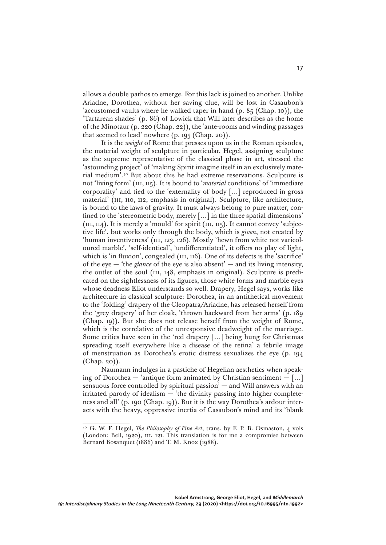allows a double pathos to emerge. For this lack is joined to another. Unlike Ariadne, Dorothea, without her saving clue, will be lost in Casaubon's 'accustomed vaults where he walked taper in hand (p. 85 (Chap. 10)), the 'Tartarean shades' (p. 86) of Lowick that Will later describes as the home of the Minotaur (p. 220 (Chap. 22)), the 'ante-rooms and winding passages that seemed to lead' nowhere (p. 195 (Chap. 20)).

It is the *weight* of Rome that presses upon us in the Roman episodes, the material weight of sculpture in particular. Hegel, assigning sculpture as the supreme representative of the classical phase in art, stressed the 'astounding project' of 'making Spirit imagine itself in an exclusively material medium'.40 But about this he had extreme reservations. Sculpture is not 'living form' (iii, 115). It is bound to '*material* conditions' of 'immediate corporality' and tied to the 'externality of body […] reproduced in gross material' (III, 110, 112, emphasis in original). Sculpture, like architecture, is bound to the laws of gravity. It must always belong to pure matter, confined to the 'stereometric body, merely […] in the three spatial dimensions'  $(iii, 114)$ . It is merely a 'mould' for spirit  $(iii, 115)$ . It cannot convey 'subjective life', but works only through the body, which is *given*, not created by 'human inventiveness' (III, 123, 126). Mostly 'hewn from white not varicoloured marble', 'self-identical', 'undifferentiated', it offers no play of light, which is 'in fluxion', congealed (III, 116). One of its defects is the 'sacrifice' of the eye — 'the *glance* of the eye is also absent' — and its living intensity, the outlet of the soul (III, 148, emphasis in original). Sculpture is predicated on the sightlessness of its figures, those white forms and marble eyes whose deadness Eliot understands so well. Drapery, Hegel says, works like architecture in classical sculpture: Dorothea, in an antithetical movement to the 'folding' drapery of the Cleopatra/Ariadne, has released herself from the 'grey drapery' of her cloak, 'thrown backward from her arms' (p. 189 (Chap. 19)). But she does not release herself from the weight of Rome, which is the correlative of the unresponsive deadweight of the marriage. Some critics have seen in the 'red drapery […] being hung for Christmas spreading itself everywhere like a disease of the retina' a febrile image of menstruation as Dorothea's erotic distress sexualizes the eye (p. 194 (Chap. 20)).

Naumann indulges in a pastiche of Hegelian aesthetics when speaking of Dorothea — 'antique form animated by Christian sentiment  $-$  [...] sensuous force controlled by spiritual passion' — and Will answers with an irritated parody of idealism — 'the divinity passing into higher completeness and all' (p. 190 (Chap. 19)). But it is the way Dorothea's ardour interacts with the heavy, oppressive inertia of Casaubon's mind and its 'blank

<sup>40</sup> G. W. F. Hegel, *The Philosophy of Fine Art*, trans. by F. P. B. Osmaston, 4 vols (London: Bell, 1920), III, 121. This translation is for me a compromise between Bernard Bosanquet (1886) and T. M. Knox (1988).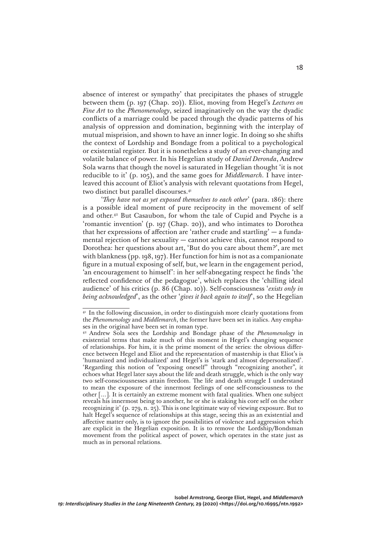absence of interest or sympathy' that precipitates the phases of struggle between them (p. 197 (Chap. 20)). Eliot, moving from Hegel's *Lectures on Fine Art* to the *Phenomenology*, seized imaginatively on the way the dyadic conflicts of a marriage could be paced through the dyadic patterns of his analysis of oppression and domination, beginning with the interplay of mutual misprision, and shown to have an inner logic. In doing so she shifts the context of Lordship and Bondage from a political to a psychological or existential register. But it is nonetheless a study of an ever-changing and volatile balance of power. In his Hegelian study of *Daniel Deronda*, Andrew Sola warns that though the novel is saturated in Hegelian thought 'it is not reducible to it' (p. 105), and the same goes for *Middlemarch*. I have interleaved this account of Eliot's analysis with relevant quotations from Hegel, two distinct but parallel discourses.<sup>41</sup>

'*They have not as yet exposed themselves to each other*' (para. 186): there is a possible ideal moment of pure reciprocity in the movement of self and other.42 But Casaubon, for whom the tale of Cupid and Psyche is a 'romantic invention' (p. 197 (Chap. 20)), and who intimates to Dorothea that her expressions of affection are 'rather crude and startling'  $-$  a fundamental rejection of her sexuality — cannot achieve this, cannot respond to Dorothea: her questions about art, 'But do you care about them?', are met with blankness (pp. 198, 197). Her function for him is not as a companionate figure in a mutual exposing of self, but, we learn in the engagement period, 'an encouragement to himself': in her self-abnegating respect he finds 'the reflected confidence of the pedagogue', which replaces the 'chilling ideal audience' of his critics (p. 86 (Chap. 10)). Self-consciousness '*exists only in being acknowledged*', as the other '*gives it back again to itself*', so the Hegelian

<sup>&</sup>lt;sup>41</sup> In the following discussion, in order to distinguish more clearly quotations from the *Phenomenology* and *Middlemarch*, the former have been set in italics. Any emphases in the original have been set in roman type.

<sup>42</sup> Andrew Sola sees the Lordship and Bondage phase of the *Phenomenology* in existential terms that make much of this moment in Hegel's changing sequence of relationships. For him, it is the prime moment of the series: the obvious difference between Hegel and Eliot and the representation of mastership is that Eliot's is 'humanized and individualized' and Hegel's is 'stark and almost depersonalized'. 'Regarding this notion of "exposing oneself" through "recognizing another", it echoes what Hegel later says about the life and death struggle, which is the only way two self-consciousnesses attain freedom. The life and death struggle I understand to mean the exposure of the innermost feelings of one self-consciousness to the other […]. It is certainly an extreme moment with fatal qualities. When one subject reveals his innermost being to another, he or she is staking his core self on the other recognizing it' (p. 279, n. 25). This is one legitimate way of viewing exposure. But to halt Hegel's sequence of relationships at this stage, seeing this as an existential and affective matter only, is to ignore the possibilities of violence and aggression which are explicit in the Hegelian exposition. It is to remove the Lordship/Bondsman movement from the political aspect of power, which operates in the state just as much as in personal relations.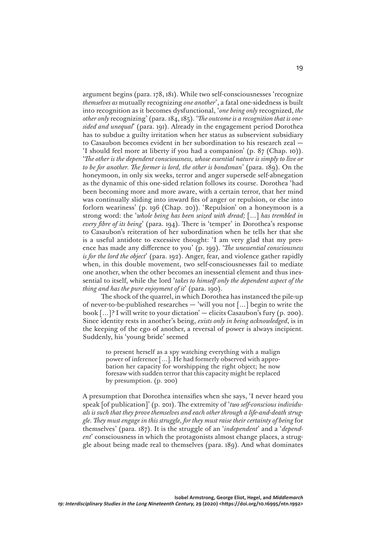argument begins (para. 178, 181). While two self-consciousnesses 'recognize *themselves as* mutually recognizing *one another*', a fatal one-sidedness is built into recognition as it becomes dysfunctional, '*one being only* recognized, *the other only* recognizing' (para. 184, 185). '*The outcome is a recognition that is onesided and unequal*' (para. 191). Already in the engagement period Dorothea has to subdue a guilty irritation when her status as subservient subsidiary to Casaubon becomes evident in her subordination to his research zeal — 'I should feel more at liberty if you had a companion' (p. 87 (Chap. 10)). '*The other is the dependent consciousness, whose essential nature is simply to live or to be for another. The former is lord, the other is bondsman*' (para. 189). On the honeymoon, in only six weeks, terror and anger supersede self-abnegation as the dynamic of this one-sided relation follows its course. Dorothea 'had been becoming more and more aware, with a certain terror, that her mind was continually sliding into inward fits of anger or repulsion, or else into forlorn weariness' (p. 196 (Chap. 20)). 'Repulsion' on a honeymoon is a strong word: the '*whole being has been seized with dread;* […] *has trembled in every fibre of its being*' (para. 194). There is 'temper' in Dorothea's response to Casaubon's reiteration of her subordination when he tells her that she is a useful antidote to excessive thought: 'I am very glad that my presence has made any difference to you' (p. 199). '*The unessential consciousness is for the lord the object*' (para. 192). Anger, fear, and violence gather rapidly when, in this double movement, two self-consciousnesses fail to mediate one another, when the other becomes an inessential element and thus inessential to itself, while the lord '*takes to himself only the dependent aspect of the thing and has the pure enjoyment of it*' (para. 190).

The shock of the quarrel, in which Dorothea has instanced the pile-up of never-to-be-published researches — 'will you not […] begin to write the book […]? I will write to your dictation' — elicits Casaubon's fury (p. 200). Since identity rests in another's being, *exists only in being acknowledged*, is in the keeping of the ego of another, a reversal of power is always incipient. Suddenly, his 'young bride' seemed

> to present herself as a spy watching everything with a malign power of inference […]. He had formerly observed with approbation her capacity for worshipping the right object; he now foresaw with sudden terror that this capacity might be replaced by presumption. (p. 200)

A presumption that Dorothea intensifies when she says, 'I never heard you speak [of publication]' (p. 201). The extremity of '*two self-conscious individuals is such that they prove themselves and each other through a life-and-death struggle. They must engage in this struggle, for they must raise their certainty of being* for themselves' (para. 187). It is the struggle of an '*independent*' and a '*dependent*' consciousness in which the protagonists almost change places, a struggle about being made real to themselves (para. 189). And what dominates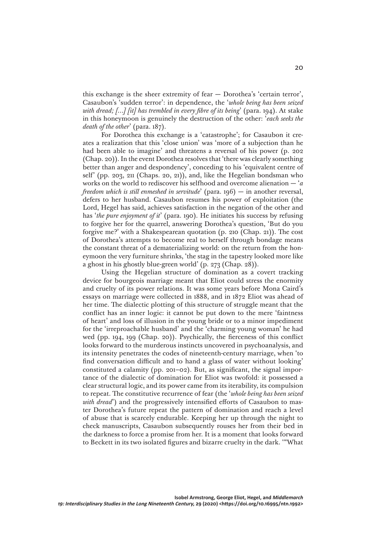this exchange is the sheer extremity of fear — Dorothea's 'certain terror', Casaubon's 'sudden terror': in dependence, the '*whole being has been seized with dread; […] [it] has trembled in every fibre of its being*' (para. 194). At stake in this honeymoon is genuinely the destruction of the other: '*each seeks the death of the other*' (para. 187).

For Dorothea this exchange is a 'catastrophe'; for Casaubon it creates a realization that this 'close union' was 'more of a subjection than he had been able to imagine' and threatens a reversal of his power (p. 202 (Chap. 20)). In the event Dorothea resolves that 'there was clearly something better than anger and despondency', conceding to his 'equivalent centre of self' (pp. 203, 211 (Chaps. 20, 21)), and, like the Hegelian bondsman who works on the world to rediscover his selfhood and overcome alienation — '*a freedom which is still enmeshed in servitude*' (para. 196) — in another reversal, defers to her husband. Casaubon resumes his power of exploitation (the Lord, Hegel has said, achieves satisfaction in the negation of the other and has '*the pure enjoyment of it*' (para. 190). He initiates his success by refusing to forgive her for the quarrel, answering Dorothea's question, 'But do you forgive me?' with a Shakespearean quotation (p. 210 (Chap. 21)). The cost of Dorothea's attempts to become real to herself through bondage means the constant threat of a dematerializing world: on the return from the honeymoon the very furniture shrinks, 'the stag in the tapestry looked more like a ghost in his ghostly blue-green world' (p. 273 (Chap. 28)).

Using the Hegelian structure of domination as a covert tracking device for bourgeois marriage meant that Eliot could stress the enormity and cruelty of its power relations. It was some years before Mona Caird's essays on marriage were collected in 1888, and in 1872 Eliot was ahead of her time. The dialectic plotting of this structure of struggle meant that the conflict has an inner logic: it cannot be put down to the mere 'faintness of heart' and loss of illusion in the young bride or to a minor impediment for the 'irreproachable husband' and the 'charming young woman' he had wed (pp. 194, 199 (Chap. 20)). Psychically, the fierceness of this conflict looks forward to the murderous instincts uncovered in psychoanalysis, and its intensity penetrates the codes of nineteenth-century marriage, when 'to find conversation difficult and to hand a glass of water without looking' constituted a calamity (pp. 201–02). But, as significant, the signal importance of the dialectic of domination for Eliot was twofold: it possessed a clear structural logic, and its power came from its iterability, its compulsion to repeat. The constitutive recurrence of fear (the '*whole being has been seized*  with dread') and the progressively intensified efforts of Casaubon to master Dorothea's future repeat the pattern of domination and reach a level of abuse that is scarcely endurable. Keeping her up through the night to check manuscripts, Casaubon subsequently rouses her from their bed in the darkness to force a promise from her. It is a moment that looks forward to Beckett in its two isolated figures and bizarre cruelty in the dark. '"What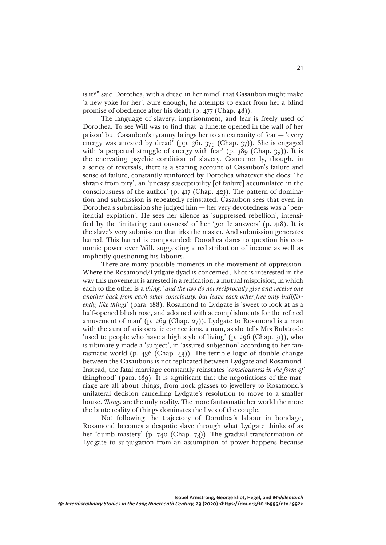is it?" said Dorothea, with a dread in her mind' that Casaubon might make 'a new yoke for her'. Sure enough, he attempts to exact from her a blind promise of obedience after his death (p. 477 (Chap. 48)).

The language of slavery, imprisonment, and fear is freely used of Dorothea. To see Will was to find that 'a lunette opened in the wall of her prison' but Casaubon's tyranny brings her to an extremity of fear — 'every energy was arrested by dread' (pp. 361, 375 (Chap. 37)). She is engaged with 'a perpetual struggle of energy with fear' (p. 389 (Chap. 39)). It is the enervating psychic condition of slavery. Concurrently, though, in a series of reversals, there is a searing account of Casaubon's failure and sense of failure, constantly reinforced by Dorothea whatever she does: 'he shrank from pity', an 'uneasy susceptibility [of failure] accumulated in the consciousness of the author' (p. 417 (Chap. 42)). The pattern of domination and submission is repeatedly reinstated: Casaubon sees that even in Dorothea's submission she judged him — her very devotedness was a 'penitential expiation'. He sees her silence as 'suppressed rebellion', intensified by the 'irritating cautiousness' of her 'gentle answers' (p. 418). It is the slave's very submission that irks the master. And submission generates hatred. This hatred is compounded: Dorothea dares to question his economic power over Will, suggesting a redistribution of income as well as implicitly questioning his labours.

There are many possible moments in the movement of oppression. Where the Rosamond/Lydgate dyad is concerned, Eliot is interested in the way this movement is arrested in a reification, a mutual misprision, in which each to the other is a *thing*: '*and the two do not reciprocally give and receive one another back from each other consciously, but leave each other free only indifferently, like things*' (para. 188). Rosamond to Lydgate is 'sweet to look at as a half-opened blush rose, and adorned with accomplishments for the refined amusement of man' (p. 269 (Chap. 27)). Lydgate to Rosamond is a man with the aura of aristocratic connections, a man, as she tells Mrs Bulstrode 'used to people who have a high style of living' (p. 296 (Chap. 31)), who is ultimately made a 'subject', in 'assured subjection' according to her fantasmatic world (p. 436 (Chap. 43)). The terrible logic of double change between the Casaubons is not replicated between Lydgate and Rosamond. Instead, the fatal marriage constantly reinstates '*consciousness in the form of*  thinghood' (para. 189). It is significant that the negotiations of the marriage are all about things, from hock glasses to jewellery to Rosamond's unilateral decision cancelling Lydgate's resolution to move to a smaller house. *Things* are the only reality. The more fantasmatic her world the more the brute reality of things dominates the lives of the couple.

Not following the trajectory of Dorothea's labour in bondage, Rosamond becomes a despotic slave through what Lydgate thinks of as her 'dumb mastery' (p. 740 (Chap. 73)). The gradual transformation of Lydgate to subjugation from an assumption of power happens because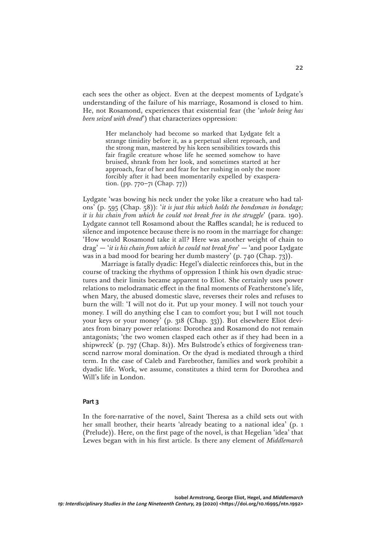each sees the other as object. Even at the deepest moments of Lydgate's understanding of the failure of his marriage, Rosamond is closed to him. He, not Rosamond, experiences that existential fear (the '*whole being has been seized with dread*') that characterizes oppression:

> Her melancholy had become so marked that Lydgate felt a strange timidity before it, as a perpetual silent reproach, and the strong man, mastered by his keen sensibilities towards this fair fragile creature whose life he seemed somehow to have bruised, shrank from her look, and sometimes started at her approach, fear of her and fear for her rushing in only the more forcibly after it had been momentarily expelled by exasperation. (pp. 770–71 (Chap. 77))

Lydgate 'was bowing his neck under the yoke like a creature who had talons' (p. 595 (Chap. 58)): '*it is just this which holds the bondsman in bondage; it is his chain from which he could not break free in the struggle*' (para. 190). Lydgate cannot tell Rosamond about the Raffles scandal; he is reduced to silence and impotence because there is no room in the marriage for change: 'How would Rosamond take it all? Here was another weight of chain to drag' — '*it is his chain from which he could not break free*' — 'and poor Lydgate was in a bad mood for bearing her dumb mastery' (p. 740 (Chap. 73)).

Marriage is fatally dyadic: Hegel's dialectic reinforces this, but in the course of tracking the rhythms of oppression I think his own dyadic structures and their limits became apparent to Eliot. She certainly uses power relations to melodramatic effect in the final moments of Featherstone's life, when Mary, the abused domestic slave, reverses their roles and refuses to burn the will: 'I will not do it. Put up your money. I will not touch your money. I will do anything else I can to comfort you; but I will not touch your keys or your money' (p. 318 (Chap. 33)). But elsewhere Eliot deviates from binary power relations: Dorothea and Rosamond do not remain antagonists; 'the two women clasped each other as if they had been in a shipwreck' (p. 797 (Chap. 81)). Mrs Bulstrode's ethics of forgiveness transcend narrow moral domination. Or the dyad is mediated through a third term. In the case of Caleb and Farebrother, families and work prohibit a dyadic life. Work, we assume, constitutes a third term for Dorothea and Will's life in London.

## **Part 3**

In the fore-narrative of the novel, Saint Theresa as a child sets out with her small brother, their hearts 'already beating to a national idea' (p. 1 (Prelude)). Here, on the first page of the novel, is that Hegelian 'idea' that Lewes began with in his first article. Is there any element of *Middlemarch*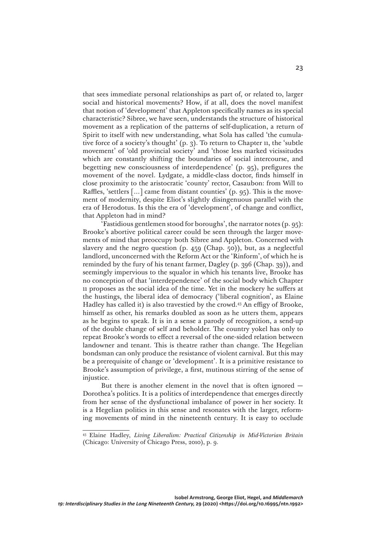that sees immediate personal relationships as part of, or related to, larger social and historical movements? How, if at all, does the novel manifest that notion of 'development' that Appleton specifically names as its special characteristic? Sibree, we have seen, understands the structure of historical movement as a replication of the patterns of self-duplication, a return of Spirit to itself with new understanding, what Sola has called 'the cumulative force of a society's thought' (p. 3). To return to Chapter 11, the 'subtle movement' of 'old provincial society' and 'those less marked vicissitudes which are constantly shifting the boundaries of social intercourse, and begetting new consciousness of interdependence' (p. 95), prefigures the movement of the novel. Lydgate, a middle-class doctor, finds himself in close proximity to the aristocratic 'county' rector, Casaubon: from Will to Raffles, 'settlers [...] came from distant counties' (p. 95). This is the movement of modernity, despite Eliot's slightly disingenuous parallel with the era of Herodotus. Is this the era of 'development', of change and conflict, that Appleton had in mind?

'Fastidious gentlemen stood for boroughs', the narrator notes (p. 95): Brooke's abortive political career could be seen through the larger movements of mind that preoccupy both Sibree and Appleton. Concerned with slavery and the negro question (p. 459 (Chap. 50)), but, as a neglectful landlord, unconcerned with the Reform Act or the 'Rinform', of which he is reminded by the fury of his tenant farmer, Dagley (p. 396 (Chap. 39)), and seemingly impervious to the squalor in which his tenants live, Brooke has no conception of that 'interdependence' of the social body which Chapter 11 proposes as the social idea of the time. Yet in the mockery he suffers at the hustings, the liberal idea of democracy ('liberal cognition', as Elaine Hadley has called it) is also travestied by the crowd.43 An effigy of Brooke, himself as other, his remarks doubled as soon as he utters them, appears as he begins to speak. It is in a sense a parody of recognition, a send-up of the double change of self and beholder. The country yokel has only to repeat Brooke's words to effect a reversal of the one-sided relation between landowner and tenant. This is theatre rather than change. The Hegelian bondsman can only produce the resistance of violent carnival. But this may be a prerequisite of change or 'development'. It is a primitive resistance to Brooke's assumption of privilege, a first, mutinous stirring of the sense of injustice.

But there is another element in the novel that is often ignored — Dorothea's politics. It is a politics of interdependence that emerges directly from her sense of the dysfunctional imbalance of power in her society. It is a Hegelian politics in this sense and resonates with the larger, reforming movements of mind in the nineteenth century. It is easy to occlude

<sup>43</sup> Elaine Hadley, *Living Liberalism: Practical Citizenship in Mid-Victorian Britain*  (Chicago: University of Chicago Press, 2010), p. 9.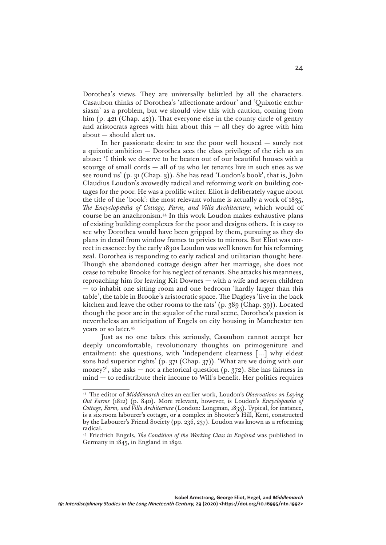Dorothea's views. They are universally belittled by all the characters. Casaubon thinks of Dorothea's 'affectionate ardour' and 'Quixotic enthusiasm' as a problem, but we should view this with caution, coming from him (p. 421 (Chap. 42)). That everyone else in the county circle of gentry and aristocrats agrees with him about this  $-$  all they do agree with him about — should alert us.

In her passionate desire to see the poor well housed — surely not a quixotic ambition — Dorothea sees the class privilege of the rich as an abuse: 'I think we deserve to be beaten out of our beautiful houses with a scourge of small cords — all of us who let tenants live in such sties as we see round us' (p. 31 (Chap. 3)). She has read 'Loudon's book', that is, John Claudius Loudon's avowedly radical and reforming work on building cottages for the poor. He was a prolific writer. Eliot is deliberately vague about the title of the 'book': the most relevant volume is actually a work of 1835, *The Encyclopædia of Cottage, Farm, and Villa Architecture*, which would of course be an anachronism.44 In this work Loudon makes exhaustive plans of existing building complexes for the poor and designs others. It is easy to see why Dorothea would have been gripped by them, pursuing as they do plans in detail from window frames to privies to mirrors. But Eliot was correct in essence: by the early 1830s Loudon was well known for his reforming zeal. Dorothea is responding to early radical and utilitarian thought here. Though she abandoned cottage design after her marriage, she does not cease to rebuke Brooke for his neglect of tenants. She attacks his meanness, reproaching him for leaving Kit Downes — with a wife and seven children — to inhabit one sitting room and one bedroom 'hardly larger than this table', the table in Brooke's aristocratic space. The Dagleys 'live in the back kitchen and leave the other rooms to the rats' (p. 389 (Chap. 39)). Located though the poor are in the squalor of the rural scene, Dorothea's passion is nevertheless an anticipation of Engels on city housing in Manchester ten years or so later.45

Just as no one takes this seriously, Casaubon cannot accept her deeply uncomfortable, revolutionary thoughts on primogeniture and entailment: she questions, with 'independent clearness […] why eldest sons had superior rights' (p. 371 (Chap. 37)). 'What are we doing with our money?', she asks — not a rhetorical question (p. 372). She has fairness in mind — to redistribute their income to Will's benefit. Her politics requires

<sup>44</sup> The editor of *Middlemarch* cites an earlier work, Loudon's *Observations on Laying Out Farms* (1812) (p. 840). More relevant, however, is Loudon's *Encyclopædia of Cottage, Farm, and Villa Architecture* (London: Longman, 1835). Typical, for instance, is a six-room labourer's cottage, or a complex in Shooter's Hill, Kent, constructed by the Labourer's Friend Society (pp. 236, 237). Loudon was known as a reforming radical.

<sup>45</sup> Friedrich Engels, *The Condition of the Working Class in England* was published in Germany in 1845, in England in 1892.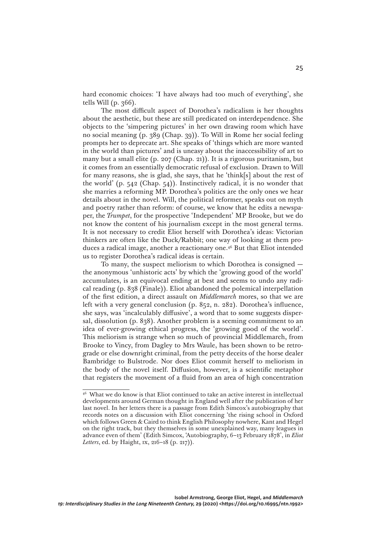hard economic choices: 'I have always had too much of everything', she tells Will (p. 366).

The most difficult aspect of Dorothea's radicalism is her thoughts about the aesthetic, but these are still predicated on interdependence. She objects to the 'simpering pictures' in her own drawing room which have no social meaning (p. 389 (Chap. 39)). To Will in Rome her social feeling prompts her to deprecate art. She speaks of 'things which are more wanted in the world than pictures' and is uneasy about the inaccessibility of art to many but a small elite (p. 207 (Chap. 21)). It is a rigorous puritanism, but it comes from an essentially democratic refusal of exclusion. Drawn to Will for many reasons, she is glad, she says, that he 'think[s] about the rest of the world' (p. 542 (Chap. 54)). Instinctively radical, it is no wonder that she marries a reforming MP. Dorothea's politics are the only ones we hear details about in the novel. Will, the political reformer, speaks out on myth and poetry rather than reform: of course, we know that he edits a newspaper, the *Trumpet*, for the prospective 'Independent' MP Brooke, but we do not know the content of his journalism except in the most general terms. It is not necessary to credit Eliot herself with Dorothea's ideas: Victorian thinkers are often like the Duck/Rabbit; one way of looking at them produces a radical image, another a reactionary one.46 But that Eliot intended us to register Dorothea's radical ideas is certain.

To many, the suspect meliorism to which Dorothea is consigned the anonymous 'unhistoric acts' by which the 'growing good of the world' accumulates, is an equivocal ending at best and seems to undo any radical reading (p. 838 (Finale)). Eliot abandoned the polemical interpellation of the first edition, a direct assault on *Middlemarch* mores, so that we are left with a very general conclusion (p. 852, n. 282). Dorothea's influence, she says, was 'incalculably diffusive', a word that to some suggests dispersal, dissolution (p. 838). Another problem is a seeming commitment to an idea of ever-growing ethical progress, the 'growing good of the world'. This meliorism is strange when so much of provincial Middlemarch, from Brooke to Vincy, from Dagley to Mrs Waule, has been shown to be retrograde or else downright criminal, from the petty deceits of the horse dealer Bambridge to Bulstrode. Nor does Eliot commit herself to meliorism in the body of the novel itself. Diffusion, however, is a scientific metaphor that registers the movement of a fluid from an area of high concentration

<sup>46</sup> What we do know is that Eliot continued to take an active interest in intellectual developments around German thought in England well after the publication of her last novel. In her letters there is a passage from Edith Simcox's autobiography that records notes on a discussion with Eliot concerning 'the rising school in Oxford which follows Green & Caird to think English Philosophy nowhere, Kant and Hegel on the right track, but they themselves in some unexplained way, many leagues in advance even of them' (Edith Simcox, 'Autobiography, 6–13 February 1878', in *Eliot Letters*, ed. by Haight, ix, 216–18 (p. 217)).